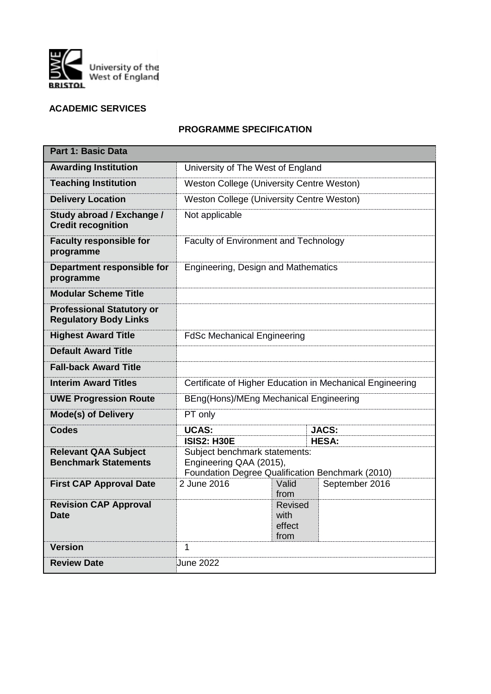

# **ACADEMIC SERVICES**

# **PROGRAMME SPECIFICATION**

| <b>Part 1: Basic Data</b>                                        |                                                                                                                                                    |                                          |                |  |  |  |
|------------------------------------------------------------------|----------------------------------------------------------------------------------------------------------------------------------------------------|------------------------------------------|----------------|--|--|--|
| <b>Awarding Institution</b>                                      | University of The West of England                                                                                                                  |                                          |                |  |  |  |
| <b>Teaching Institution</b>                                      | Weston College (University Centre Weston)                                                                                                          |                                          |                |  |  |  |
| <b>Delivery Location</b>                                         | Weston College (University Centre Weston)                                                                                                          |                                          |                |  |  |  |
| Study abroad / Exchange /<br><b>Credit recognition</b>           | Not applicable                                                                                                                                     |                                          |                |  |  |  |
| <b>Faculty responsible for</b><br>programme                      | Faculty of Environment and Technology                                                                                                              |                                          |                |  |  |  |
| Department responsible for<br>programme                          | Engineering, Design and Mathematics                                                                                                                |                                          |                |  |  |  |
| <b>Modular Scheme Title</b>                                      |                                                                                                                                                    |                                          |                |  |  |  |
| <b>Professional Statutory or</b><br><b>Regulatory Body Links</b> |                                                                                                                                                    |                                          |                |  |  |  |
| <b>Highest Award Title</b>                                       | <b>FdSc Mechanical Engineering</b>                                                                                                                 |                                          |                |  |  |  |
| <b>Default Award Title</b>                                       |                                                                                                                                                    |                                          |                |  |  |  |
| <b>Fall-back Award Title</b>                                     |                                                                                                                                                    |                                          |                |  |  |  |
| <b>Interim Award Titles</b>                                      | Certificate of Higher Education in Mechanical Engineering                                                                                          |                                          |                |  |  |  |
| <b>UWE Progression Route</b>                                     | BEng(Hons)/MEng Mechanical Engineering                                                                                                             |                                          |                |  |  |  |
| <b>Mode(s) of Delivery</b>                                       | PT only                                                                                                                                            |                                          |                |  |  |  |
| <b>Codes</b>                                                     | <b>UCAS:</b>                                                                                                                                       |                                          | <b>JACS:</b>   |  |  |  |
| <b>Relevant QAA Subject</b><br><b>Benchmark Statements</b>       | <b>ISIS2: H30E</b><br><b>HESA:</b><br>Subject benchmark statements:<br>Engineering QAA (2015),<br>Foundation Degree Qualification Benchmark (2010) |                                          |                |  |  |  |
| <b>First CAP Approval Date</b>                                   | 2 June 2016                                                                                                                                        | Valid<br>from                            | September 2016 |  |  |  |
| <b>Revision CAP Approval</b><br><b>Date</b>                      |                                                                                                                                                    | <b>Revised</b><br>with<br>effect<br>from |                |  |  |  |
| <b>Version</b>                                                   | $\mathbf{1}$                                                                                                                                       |                                          |                |  |  |  |
| <b>Review Date</b>                                               | June 2022                                                                                                                                          |                                          |                |  |  |  |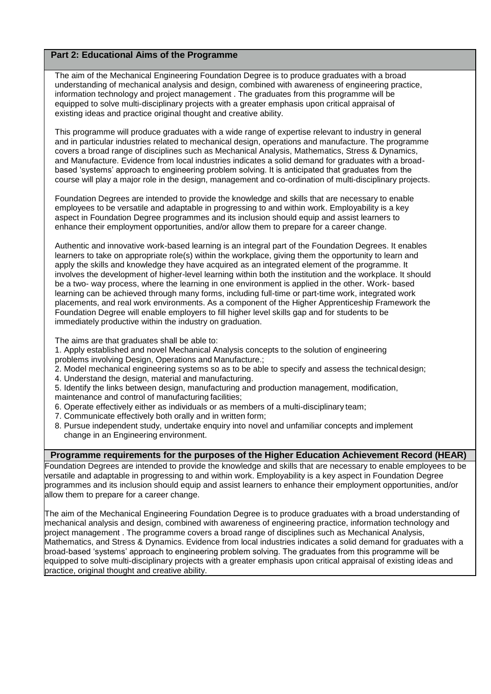## **Part 2: Educational Aims of the Programme**

The aim of the Mechanical Engineering Foundation Degree is to produce graduates with a broad understanding of mechanical analysis and design, combined with awareness of engineering practice, information technology and project management . The graduates from this programme will be equipped to solve multi-disciplinary projects with a greater emphasis upon critical appraisal of existing ideas and practice original thought and creative ability.

This programme will produce graduates with a wide range of expertise relevant to industry in general and in particular industries related to mechanical design, operations and manufacture. The programme covers a broad range of disciplines such as Mechanical Analysis, Mathematics, Stress & Dynamics, and Manufacture. Evidence from local industries indicates a solid demand for graduates with a broadbased 'systems' approach to engineering problem solving. It is anticipated that graduates from the course will play a major role in the design, management and co-ordination of multi-disciplinary projects.

Foundation Degrees are intended to provide the knowledge and skills that are necessary to enable employees to be versatile and adaptable in progressing to and within work. Employability is a key aspect in Foundation Degree programmes and its inclusion should equip and assist learners to enhance their employment opportunities, and/or allow them to prepare for a career change.

Authentic and innovative work-based learning is an integral part of the Foundation Degrees. It enables learners to take on appropriate role(s) within the workplace, giving them the opportunity to learn and apply the skills and knowledge they have acquired as an integrated element of the programme. It involves the development of higher-level learning within both the institution and the workplace. It should be a two- way process, where the learning in one environment is applied in the other. Work- based learning can be achieved through many forms, including full-time or part-time work, integrated work placements, and real work environments. As a component of the Higher Apprenticeship Framework the Foundation Degree will enable employers to fill higher level skills gap and for students to be immediately productive within the industry on graduation.

The aims are that graduates shall be able to:

1. Apply established and novel Mechanical Analysis concepts to the solution of engineering problems involving Design, Operations and Manufacture.;

- 2. Model mechanical engineering systems so as to be able to specify and assess the technical design;
- 4. Understand the design, material and manufacturing.

5. Identify the links between design, manufacturing and production management, modification,

- maintenance and control of manufacturing facilities;
- 6. Operate effectively either as individuals or as members of a multi-disciplinary team;
- 7. Communicate effectively both orally and in written form;
- 8. Pursue independent study, undertake enquiry into novel and unfamiliar concepts and implement change in an Engineering environment.

### **Programme requirements for the purposes of the Higher Education Achievement Record (HEAR)**

Foundation Degrees are intended to provide the knowledge and skills that are necessary to enable employees to be versatile and adaptable in progressing to and within work. Employability is a key aspect in Foundation Degree programmes and its inclusion should equip and assist learners to enhance their employment opportunities, and/or allow them to prepare for a career change.

The aim of the Mechanical Engineering Foundation Degree is to produce graduates with a broad understanding of mechanical analysis and design, combined with awareness of engineering practice, information technology and project management . The programme covers a broad range of disciplines such as Mechanical Analysis, Mathematics, and Stress & Dynamics. Evidence from local industries indicates a solid demand for graduates with a broad-based 'systems' approach to engineering problem solving. The graduates from this programme will be equipped to solve multi-disciplinary projects with a greater emphasis upon critical appraisal of existing ideas and practice, original thought and creative ability.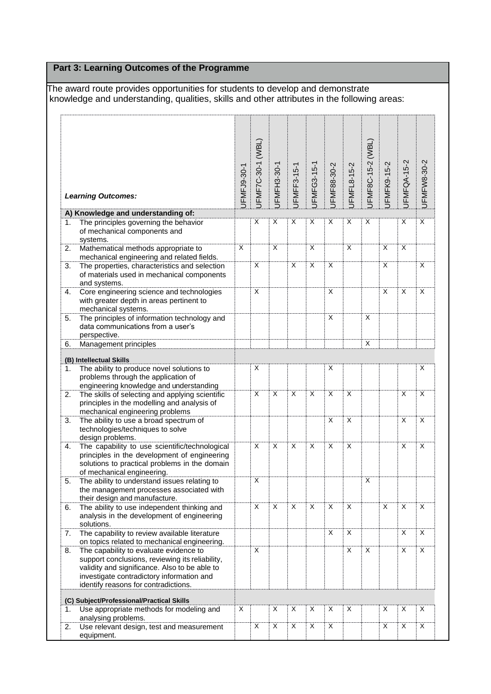# **Part 3: Learning Outcomes of the Programme**

The award route provides opportunities for students to develop and demonstrate knowledge and understanding, qualities, skills and other attributes in the following areas:

| JFMF7C-30-1 (WBL)<br>JFMF8C-15-2 (WBL)<br>JFMFQA-15-2<br>JFMFK9-15-2<br>JFMFL8-15-2<br>JFMFG3-15-1<br>JFMF88-30-2<br>JFMFH3-30-1<br>JFMFF3-15-1<br>JFMFJ9-30-1<br><b>Learning Outcomes:</b><br>A) Knowledge and understanding of:<br>X<br>X<br>X<br>X<br>X<br>X<br>X<br>X<br>The principles governing the behavior<br>1.<br>of mechanical components and<br>systems.<br>X<br>$\overline{X}$<br>X<br>Mathematical methods appropriate to<br>X<br>X<br>X<br>2.<br>mechanical engineering and related fields.<br>$\overline{X}$<br>X<br>X<br>X<br>X<br>The properties, characteristics and selection<br>3.<br>of materials used in mechanical components<br>and systems.<br>X<br>X<br>X<br>X<br>Core engineering science and technologies<br>4.<br>with greater depth in areas pertinent to<br>mechanical systems.<br>X<br>X<br>The principles of information technology and<br>5.<br>data communications from a user's<br>perspective.<br>X<br>Management principles<br>6.<br>(B) Intellectual Skills<br>The ability to produce novel solutions to<br>X<br>X<br>X<br>1.<br>problems through the application of<br>engineering knowledge and understanding<br>X<br>$\mathsf{X}$<br>$\overline{X}$<br>X<br>X<br>X<br>2.<br>The skills of selecting and applying scientific<br>Χ<br>principles in the modelling and analysis of<br>mechanical engineering problems<br>X<br>X<br>X<br>The ability to use a broad spectrum of<br>3.<br>technologies/techniques to solve<br>design problems.<br>$\overline{X}$<br>$\overline{X}$<br>$\overline{X}$<br>X<br>X<br>X<br>The capability to use scientific/technological<br>X<br>4.<br>principles in the development of engineering<br>solutions to practical problems in the domain<br>of mechanical engineering.<br>Χ<br>Χ<br>The ability to understand issues relating to<br>5.<br>the management processes associated with<br>their design and manufacture.<br>X<br>X<br>X<br>X<br>X<br>X<br>X<br>Х<br>The ability to use independent thinking and<br>6. |                                            |  |  |  |  |  |             |
|-------------------------------------------------------------------------------------------------------------------------------------------------------------------------------------------------------------------------------------------------------------------------------------------------------------------------------------------------------------------------------------------------------------------------------------------------------------------------------------------------------------------------------------------------------------------------------------------------------------------------------------------------------------------------------------------------------------------------------------------------------------------------------------------------------------------------------------------------------------------------------------------------------------------------------------------------------------------------------------------------------------------------------------------------------------------------------------------------------------------------------------------------------------------------------------------------------------------------------------------------------------------------------------------------------------------------------------------------------------------------------------------------------------------------------------------------------------------------------------------------------------------------------------------------------------------------------------------------------------------------------------------------------------------------------------------------------------------------------------------------------------------------------------------------------------------------------------------------------------------------------------------------------------------------------------------------------------------------------------------------|--------------------------------------------|--|--|--|--|--|-------------|
|                                                                                                                                                                                                                                                                                                                                                                                                                                                                                                                                                                                                                                                                                                                                                                                                                                                                                                                                                                                                                                                                                                                                                                                                                                                                                                                                                                                                                                                                                                                                                                                                                                                                                                                                                                                                                                                                                                                                                                                                 |                                            |  |  |  |  |  | JFMFW8-30-2 |
|                                                                                                                                                                                                                                                                                                                                                                                                                                                                                                                                                                                                                                                                                                                                                                                                                                                                                                                                                                                                                                                                                                                                                                                                                                                                                                                                                                                                                                                                                                                                                                                                                                                                                                                                                                                                                                                                                                                                                                                                 |                                            |  |  |  |  |  |             |
|                                                                                                                                                                                                                                                                                                                                                                                                                                                                                                                                                                                                                                                                                                                                                                                                                                                                                                                                                                                                                                                                                                                                                                                                                                                                                                                                                                                                                                                                                                                                                                                                                                                                                                                                                                                                                                                                                                                                                                                                 |                                            |  |  |  |  |  | X           |
|                                                                                                                                                                                                                                                                                                                                                                                                                                                                                                                                                                                                                                                                                                                                                                                                                                                                                                                                                                                                                                                                                                                                                                                                                                                                                                                                                                                                                                                                                                                                                                                                                                                                                                                                                                                                                                                                                                                                                                                                 |                                            |  |  |  |  |  |             |
|                                                                                                                                                                                                                                                                                                                                                                                                                                                                                                                                                                                                                                                                                                                                                                                                                                                                                                                                                                                                                                                                                                                                                                                                                                                                                                                                                                                                                                                                                                                                                                                                                                                                                                                                                                                                                                                                                                                                                                                                 |                                            |  |  |  |  |  | X           |
|                                                                                                                                                                                                                                                                                                                                                                                                                                                                                                                                                                                                                                                                                                                                                                                                                                                                                                                                                                                                                                                                                                                                                                                                                                                                                                                                                                                                                                                                                                                                                                                                                                                                                                                                                                                                                                                                                                                                                                                                 |                                            |  |  |  |  |  | X           |
|                                                                                                                                                                                                                                                                                                                                                                                                                                                                                                                                                                                                                                                                                                                                                                                                                                                                                                                                                                                                                                                                                                                                                                                                                                                                                                                                                                                                                                                                                                                                                                                                                                                                                                                                                                                                                                                                                                                                                                                                 |                                            |  |  |  |  |  |             |
|                                                                                                                                                                                                                                                                                                                                                                                                                                                                                                                                                                                                                                                                                                                                                                                                                                                                                                                                                                                                                                                                                                                                                                                                                                                                                                                                                                                                                                                                                                                                                                                                                                                                                                                                                                                                                                                                                                                                                                                                 |                                            |  |  |  |  |  |             |
|                                                                                                                                                                                                                                                                                                                                                                                                                                                                                                                                                                                                                                                                                                                                                                                                                                                                                                                                                                                                                                                                                                                                                                                                                                                                                                                                                                                                                                                                                                                                                                                                                                                                                                                                                                                                                                                                                                                                                                                                 |                                            |  |  |  |  |  |             |
|                                                                                                                                                                                                                                                                                                                                                                                                                                                                                                                                                                                                                                                                                                                                                                                                                                                                                                                                                                                                                                                                                                                                                                                                                                                                                                                                                                                                                                                                                                                                                                                                                                                                                                                                                                                                                                                                                                                                                                                                 |                                            |  |  |  |  |  |             |
|                                                                                                                                                                                                                                                                                                                                                                                                                                                                                                                                                                                                                                                                                                                                                                                                                                                                                                                                                                                                                                                                                                                                                                                                                                                                                                                                                                                                                                                                                                                                                                                                                                                                                                                                                                                                                                                                                                                                                                                                 |                                            |  |  |  |  |  |             |
|                                                                                                                                                                                                                                                                                                                                                                                                                                                                                                                                                                                                                                                                                                                                                                                                                                                                                                                                                                                                                                                                                                                                                                                                                                                                                                                                                                                                                                                                                                                                                                                                                                                                                                                                                                                                                                                                                                                                                                                                 |                                            |  |  |  |  |  | X           |
|                                                                                                                                                                                                                                                                                                                                                                                                                                                                                                                                                                                                                                                                                                                                                                                                                                                                                                                                                                                                                                                                                                                                                                                                                                                                                                                                                                                                                                                                                                                                                                                                                                                                                                                                                                                                                                                                                                                                                                                                 |                                            |  |  |  |  |  | X           |
|                                                                                                                                                                                                                                                                                                                                                                                                                                                                                                                                                                                                                                                                                                                                                                                                                                                                                                                                                                                                                                                                                                                                                                                                                                                                                                                                                                                                                                                                                                                                                                                                                                                                                                                                                                                                                                                                                                                                                                                                 |                                            |  |  |  |  |  | X           |
|                                                                                                                                                                                                                                                                                                                                                                                                                                                                                                                                                                                                                                                                                                                                                                                                                                                                                                                                                                                                                                                                                                                                                                                                                                                                                                                                                                                                                                                                                                                                                                                                                                                                                                                                                                                                                                                                                                                                                                                                 |                                            |  |  |  |  |  |             |
| solutions.                                                                                                                                                                                                                                                                                                                                                                                                                                                                                                                                                                                                                                                                                                                                                                                                                                                                                                                                                                                                                                                                                                                                                                                                                                                                                                                                                                                                                                                                                                                                                                                                                                                                                                                                                                                                                                                                                                                                                                                      | analysis in the development of engineering |  |  |  |  |  | X           |
| X<br>X<br>X<br>The capability to review available literature<br>7.<br>on topics related to mechanical engineering.                                                                                                                                                                                                                                                                                                                                                                                                                                                                                                                                                                                                                                                                                                                                                                                                                                                                                                                                                                                                                                                                                                                                                                                                                                                                                                                                                                                                                                                                                                                                                                                                                                                                                                                                                                                                                                                                              |                                            |  |  |  |  |  | X           |
| X<br>X<br>X<br>X<br>The capability to evaluate evidence to<br>8.<br>support conclusions, reviewing its reliability,<br>validity and significance. Also to be able to<br>investigate contradictory information and<br>identify reasons for contradictions.                                                                                                                                                                                                                                                                                                                                                                                                                                                                                                                                                                                                                                                                                                                                                                                                                                                                                                                                                                                                                                                                                                                                                                                                                                                                                                                                                                                                                                                                                                                                                                                                                                                                                                                                       |                                            |  |  |  |  |  | X           |
|                                                                                                                                                                                                                                                                                                                                                                                                                                                                                                                                                                                                                                                                                                                                                                                                                                                                                                                                                                                                                                                                                                                                                                                                                                                                                                                                                                                                                                                                                                                                                                                                                                                                                                                                                                                                                                                                                                                                                                                                 |                                            |  |  |  |  |  |             |
| (C) Subject/Professional/Practical Skills<br>X<br>Χ<br>Х<br>Χ<br>Χ<br>Χ<br>Χ<br>Χ<br>Use appropriate methods for modeling and<br>1.                                                                                                                                                                                                                                                                                                                                                                                                                                                                                                                                                                                                                                                                                                                                                                                                                                                                                                                                                                                                                                                                                                                                                                                                                                                                                                                                                                                                                                                                                                                                                                                                                                                                                                                                                                                                                                                             |                                            |  |  |  |  |  | Χ           |
| analysing problems.<br>Use relevant design, test and measurement<br>X<br>X<br>X<br>X<br>Χ<br>X<br>2.<br>X<br>equipment.                                                                                                                                                                                                                                                                                                                                                                                                                                                                                                                                                                                                                                                                                                                                                                                                                                                                                                                                                                                                                                                                                                                                                                                                                                                                                                                                                                                                                                                                                                                                                                                                                                                                                                                                                                                                                                                                         |                                            |  |  |  |  |  | X           |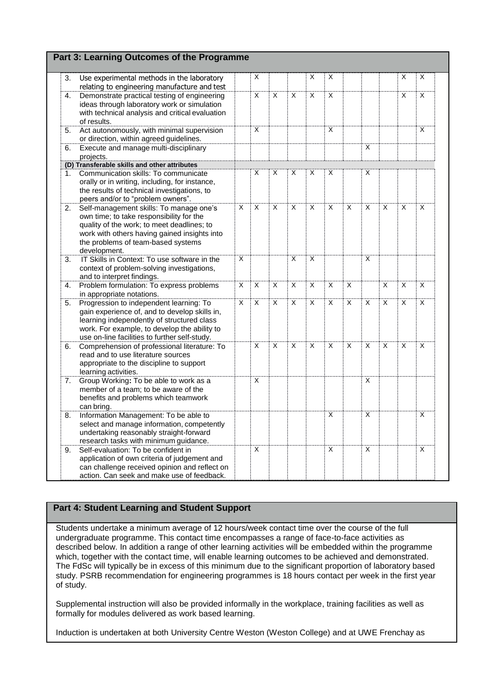|    | Part 3: Learning Outcomes of the Programme                                                                                                                                                                                              |                |                |                |                |   |                |                |                |                         |                |   |
|----|-----------------------------------------------------------------------------------------------------------------------------------------------------------------------------------------------------------------------------------------|----------------|----------------|----------------|----------------|---|----------------|----------------|----------------|-------------------------|----------------|---|
| 3. | Use experimental methods in the laboratory<br>relating to engineering manufacture and test                                                                                                                                              |                | Х              |                |                | X | Χ              |                |                |                         | X              | Х |
| 4. | Demonstrate practical testing of engineering<br>ideas through laboratory work or simulation<br>with technical analysis and critical evaluation<br>of results.                                                                           |                | X              | X              | X              | X | X              |                |                |                         | X              | X |
| 5. | Act autonomously, with minimal supervision<br>or direction, within agreed guidelines.                                                                                                                                                   |                | X              |                |                |   | X              |                |                |                         |                | X |
| 6. | Execute and manage multi-disciplinary<br>projects.                                                                                                                                                                                      |                |                |                |                |   |                |                | X              |                         |                |   |
|    | (D) Transferable skills and other attributes                                                                                                                                                                                            |                |                |                |                |   |                |                |                |                         |                |   |
| 1. | Communication skills: To communicate<br>orally or in writing, including, for instance,<br>the results of technical investigations, to<br>peers and/or to "problem owners".                                                              |                | X              | X              | X              | X | X              |                | X              |                         |                |   |
| 2. | Self-management skills: To manage one's<br>own time; to take responsibility for the<br>quality of the work; to meet deadlines; to<br>work with others having gained insights into<br>the problems of team-based systems<br>development. | X              | X              | X              | X              | X | $\overline{X}$ | $\overline{X}$ | X              | X                       | X              | X |
| 3. | IT Skills in Context: To use software in the<br>context of problem-solving investigations,<br>and to interpret findings.                                                                                                                | X              |                |                | X              | X |                |                | X              |                         |                |   |
| 4. | Problem formulation: To express problems<br>in appropriate notations.                                                                                                                                                                   | $\overline{X}$ | X              | $\overline{X}$ | $\overline{X}$ | X | $\overline{X}$ | $\overline{X}$ |                | X                       | X              | X |
| 5. | Progression to independent learning: To<br>gain experience of, and to develop skills in,<br>learning independently of structured class<br>work. For example, to develop the ability to<br>use on-line facilities to further self-study. | X              | $\overline{X}$ | $\overline{X}$ | X              | X | $\overline{X}$ | $\overline{X}$ | X              | $\overline{\mathsf{x}}$ | $\overline{X}$ | X |
| 6. | Comprehension of professional literature: To<br>read and to use literature sources<br>appropriate to the discipline to support<br>learning activities.                                                                                  |                | X              | X              | X              | X | X              | X              | X              | X                       | X              | X |
| 7. | Group Working: To be able to work as a<br>member of a team; to be aware of the<br>benefits and problems which teamwork<br>can bring.                                                                                                    |                | X              |                |                |   |                |                | X              |                         |                |   |
| 8. | Information Management: To be able to<br>select and manage information, competently<br>undertaking reasonably straight-forward<br>research tasks with minimum guidance.                                                                 |                |                |                |                |   | X              |                | X              |                         |                | X |
| 9. | Self-evaluation: To be confident in<br>application of own criteria of judgement and<br>can challenge received opinion and reflect on<br>action. Can seek and make use of feedback.                                                      |                | X              |                |                |   | X              |                | $\overline{X}$ |                         |                | X |

Students undertake a minimum average of 12 hours/week contact time over the course of the full undergraduate programme. This contact time encompasses a range of face-to-face activities as described below. In addition a range of other learning activities will be embedded within the programme which, together with the contact time, will enable learning outcomes to be achieved and demonstrated. The FdSc will typically be in excess of this minimum due to the significant proportion of laboratory based study. PSRB recommendation for engineering programmes is 18 hours contact per week in the first year of study.

Supplemental instruction will also be provided informally in the workplace, training facilities as well as formally for modules delivered as work based learning.

Induction is undertaken at both University Centre Weston (Weston College) and at UWE Frenchay as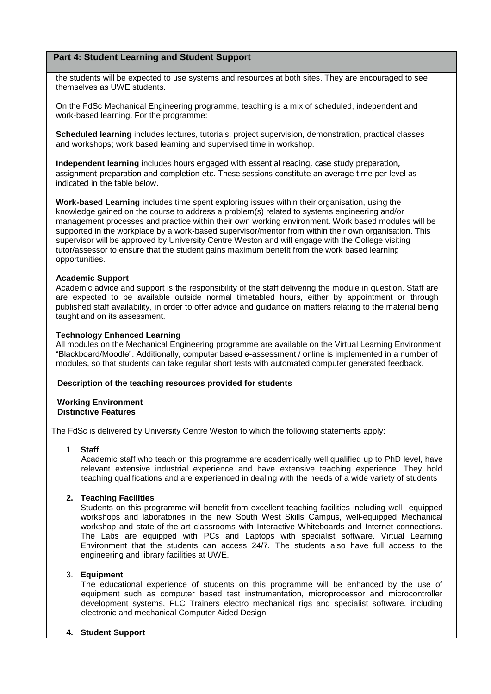the students will be expected to use systems and resources at both sites. They are encouraged to see themselves as UWE students.

On the FdSc Mechanical Engineering programme, teaching is a mix of scheduled, independent and work-based learning. For the programme:

**Scheduled learning** includes lectures, tutorials, project supervision, demonstration, practical classes and workshops; work based learning and supervised time in workshop.

**Independent learning** includes hours engaged with essential reading, case study preparation, assignment preparation and completion etc. These sessions constitute an average time per level as indicated in the table below.

**Work-based Learning** includes time spent exploring issues within their organisation, using the knowledge gained on the course to address a problem(s) related to systems engineering and/or management processes and practice within their own working environment. Work based modules will be supported in the workplace by a work-based supervisor/mentor from within their own organisation. This supervisor will be approved by University Centre Weston and will engage with the College visiting tutor/assessor to ensure that the student gains maximum benefit from the work based learning opportunities.

#### **Academic Support**

Academic advice and support is the responsibility of the staff delivering the module in question. Staff are are expected to be available outside normal timetabled hours, either by appointment or through published staff availability, in order to offer advice and guidance on matters relating to the material being taught and on its assessment.

#### **Technology Enhanced Learning**

All modules on the Mechanical Engineering programme are available on the Virtual Learning Environment "Blackboard/Moodle". Additionally, computer based e-assessment / online is implemented in a number of modules, so that students can take regular short tests with automated computer generated feedback.

#### **Description of the teaching resources provided for students**

#### **Working Environment Distinctive Features**

The FdSc is delivered by University Centre Weston to which the following statements apply:

### 1. **Staff**

Academic staff who teach on this programme are academically well qualified up to PhD level, have relevant extensive industrial experience and have extensive teaching experience. They hold teaching qualifications and are experienced in dealing with the needs of a wide variety of students

### **2. Teaching Facilities**

Students on this programme will benefit from excellent teaching facilities including well- equipped workshops and laboratories in the new South West Skills Campus, well-equipped Mechanical workshop and state-of-the-art classrooms with Interactive Whiteboards and Internet connections. The Labs are equipped with PCs and Laptops with specialist software. Virtual Learning Environment that the students can access 24/7. The students also have full access to the engineering and library facilities at UWE.

### 3. **Equipment**

The educational experience of students on this programme will be enhanced by the use of equipment such as computer based test instrumentation, microprocessor and microcontroller development systems, PLC Trainers electro mechanical rigs and specialist software, including electronic and mechanical Computer Aided Design

#### **4. Student Support**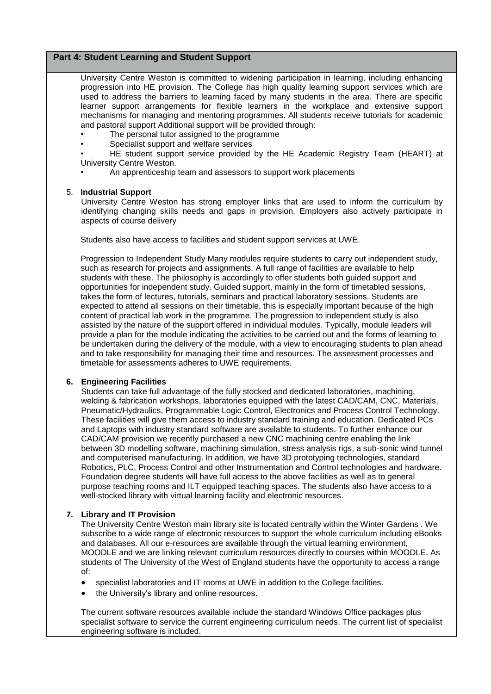University Centre Weston is committed to widening participation in learning, including enhancing progression into HE provision. The College has high quality learning support services which are used to address the barriers to learning faced by many students in the area. There are specific learner support arrangements for flexible learners in the workplace and extensive support mechanisms for managing and mentoring programmes. All students receive tutorials for academic and pastoral support Additional support will be provided through:

- The personal tutor assigned to the programme
- Specialist support and welfare services

• HE student support service provided by the HE Academic Registry Team (HEART) at University Centre Weston.

• An apprenticeship team and assessors to support work placements

#### 5. **Industrial Support**

University Centre Weston has strong employer links that are used to inform the curriculum by identifying changing skills needs and gaps in provision. Employers also actively participate in aspects of course delivery

Students also have access to facilities and student support services at UWE.

Progression to Independent Study Many modules require students to carry out independent study, such as research for projects and assignments. A full range of facilities are available to help students with these. The philosophy is accordingly to offer students both guided support and opportunities for independent study. Guided support, mainly in the form of timetabled sessions, takes the form of lectures, tutorials, seminars and practical laboratory sessions. Students are expected to attend all sessions on their timetable, this is especially important because of the high content of practical lab work in the programme. The progression to independent study is also assisted by the nature of the support offered in individual modules. Typically, module leaders will provide a plan for the module indicating the activities to be carried out and the forms of learning to be undertaken during the delivery of the module, with a view to encouraging students to plan ahead and to take responsibility for managing their time and resources. The assessment processes and timetable for assessments adheres to UWE requirements.

#### **6. Engineering Facilities**

Students can take full advantage of the fully stocked and dedicated laboratories, machining, welding & fabrication workshops, laboratories equipped with the latest CAD/CAM, CNC, Materials, Pneumatic/Hydraulics, Programmable Logic Control, Electronics and Process Control Technology. These facilities will give them access to industry standard training and education. Dedicated PCs and Laptops with industry standard software are available to students. To further enhance our CAD/CAM provision we recently purchased a new CNC machining centre enabling the link between 3D modelling software, machining simulation, stress analysis rigs, a sub-sonic wind tunnel and computerised manufacturing. In addition, we have 3D prototyping technologies, standard Robotics, PLC, Process Control and other Instrumentation and Control technologies and hardware. Foundation degree students will have full access to the above facilities as well as to general purpose teaching rooms and ILT equipped teaching spaces. The students also have access to a well-stocked library with virtual learning facility and electronic resources.

#### **7. Library and IT Provision**

The University Centre Weston main library site is located centrally within the Winter Gardens . We subscribe to a wide range of electronic resources to support the whole curriculum including eBooks and databases. All our e-resources are available through the virtual learning environment, MOODLE and we are linking relevant curriculum resources directly to courses within MOODLE. As students of The University of the West of England students have the opportunity to access a range of:

- specialist laboratories and IT rooms at UWE in addition to the College facilities.
- the University's library and online resources.

The current software resources available include the standard Windows Office packages plus specialist software to service the current engineering curriculum needs. The current list of specialist engineering software is included.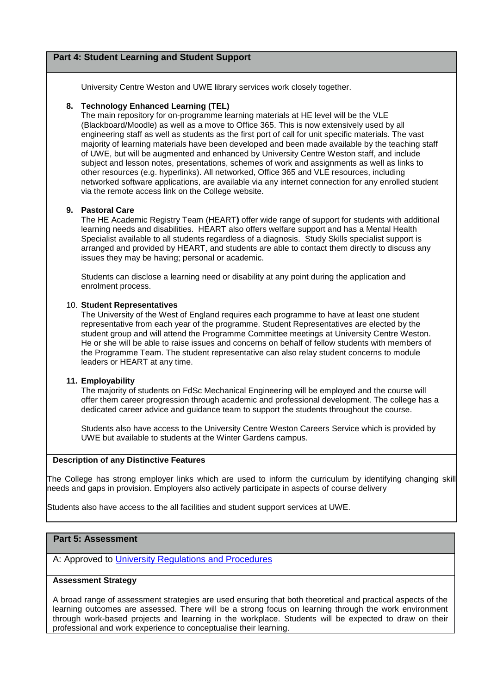University Centre Weston and UWE library services work closely together.

#### **8. Technology Enhanced Learning (TEL)**

The main repository for on-programme learning materials at HE level will be the VLE (Blackboard/Moodle) as well as a move to Office 365. This is now extensively used by all engineering staff as well as students as the first port of call for unit specific materials. The vast majority of learning materials have been developed and been made available by the teaching staff of UWE, but will be augmented and enhanced by University Centre Weston staff, and include subject and lesson notes, presentations, schemes of work and assignments as well as links to other resources (e.g. hyperlinks). All networked, Office 365 and VLE resources, including networked software applications, are available via any internet connection for any enrolled student via the remote access link on the College website.

#### **9. Pastoral Care**

The HE Academic Registry Team (HEART**)** offer wide range of support for students with additional learning needs and disabilities. HEART also offers welfare support and has a Mental Health Specialist available to all students regardless of a diagnosis. Study Skills specialist support is arranged and provided by HEART, and students are able to contact them directly to discuss any issues they may be having; personal or academic.

Students can disclose a learning need or disability at any point during the application and enrolment process.

#### 10. **Student Representatives**

The University of the West of England requires each programme to have at least one student representative from each year of the programme. Student Representatives are elected by the student group and will attend the Programme Committee meetings at University Centre Weston. He or she will be able to raise issues and concerns on behalf of fellow students with members of the Programme Team. The student representative can also relay student concerns to module leaders or HEART at any time.

#### **11. Employability**

The majority of students on FdSc Mechanical Engineering will be employed and the course will offer them career progression through academic and professional development. The college has a dedicated career advice and guidance team to support the students throughout the course.

Students also have access to the University Centre Weston Careers Service which is provided by UWE but available to students at the Winter Gardens campus.

#### **Description of any Distinctive Features**

The College has strong employer links which are used to inform the curriculum by identifying changing skill needs and gaps in provision. Employers also actively participate in aspects of course delivery

Students also have access to the all facilities and student support services at UWE.

### **Part 5: Assessment**

A: Approved to [University Regulations and Procedures](http://www1.uwe.ac.uk/students/academicadvice/assessments/regulationsandprocedures.aspx)

### **Assessment Strategy**

A broad range of assessment strategies are used ensuring that both theoretical and practical aspects of the learning outcomes are assessed. There will be a strong focus on learning through the work environment through work-based projects and learning in the workplace. Students will be expected to draw on their professional and work experience to conceptualise their learning.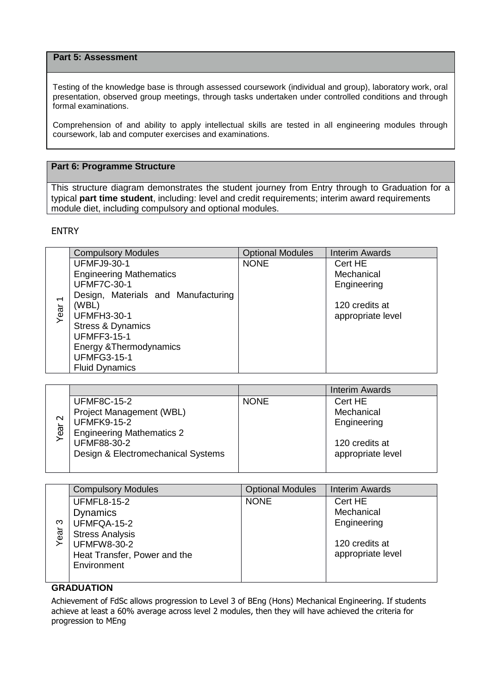## **Part 5: Assessment**

Testing of the knowledge base is through assessed coursework (individual and group), laboratory work, oral presentation, observed group meetings, through tasks undertaken under controlled conditions and through formal examinations.

Comprehension of and ability to apply intellectual skills are tested in all engineering modules through coursework, lab and computer exercises and examinations.

## **Part 6: Programme Structure**

This structure diagram demonstrates the student journey from Entry through to Graduation for a typical **part time student**, including: level and credit requirements; interim award requirements module diet, including compulsory and optional modules.

## ENTRY

|                          | <b>Compulsory Modules</b>           | <b>Optional Modules</b> | <b>Interim Awards</b> |
|--------------------------|-------------------------------------|-------------------------|-----------------------|
|                          | <b>UFMFJ9-30-1</b>                  | <b>NONE</b>             | Cert HE               |
|                          | <b>Engineering Mathematics</b>      |                         | Mechanical            |
|                          | <b>UFMF7C-30-1</b>                  |                         | Engineering           |
| $\overline{\phantom{0}}$ | Design, Materials and Manufacturing |                         |                       |
|                          | (WBL)                               |                         | 120 credits at        |
| Year                     | <b>UFMFH3-30-1</b>                  |                         | appropriate level     |
|                          | <b>Stress &amp; Dynamics</b>        |                         |                       |
|                          | <b>UFMFF3-15-1</b>                  |                         |                       |
|                          | Energy & Thermodynamics             |                         |                       |
|                          | <b>UFMFG3-15-1</b>                  |                         |                       |
|                          | <b>Fluid Dynamics</b>               |                         |                       |

|        |                                    |             | <b>Interim Awards</b> |
|--------|------------------------------------|-------------|-----------------------|
|        | <b>UFMF8C-15-2</b>                 | <b>NONE</b> | Cert HE               |
|        | Project Management (WBL)           |             | Mechanical            |
| $\sim$ | <b>UFMFK9-15-2</b>                 |             | Engineering           |
| Year   | <b>Engineering Mathematics 2</b>   |             |                       |
|        | <b>UFMF88-30-2</b>                 |             | 120 credits at        |
|        | Design & Electromechanical Systems |             | appropriate level     |
|        |                                    |             |                       |

|     | <b>Compulsory Modules</b>    | <b>Optional Modules</b> | <b>Interim Awards</b> |
|-----|------------------------------|-------------------------|-----------------------|
|     | <b>UFMFL8-15-2</b>           | <b>NONE</b>             | Cert HE               |
|     | <b>Dynamics</b>              |                         | Mechanical            |
| ო   | UFMFQA-15-2                  |                         | Engineering           |
| ear | <b>Stress Analysis</b>       |                         |                       |
| ≻   | <b>UFMFW8-30-2</b>           |                         | 120 credits at        |
|     | Heat Transfer, Power and the |                         | appropriate level     |
|     | Environment                  |                         |                       |
|     |                              |                         |                       |

# **GRADUATION**

Achievement of FdSc allows progression to Level 3 of BEng (Hons) Mechanical Engineering. If students achieve at least a 60% average across level 2 modules, then they will have achieved the criteria for progression to MEng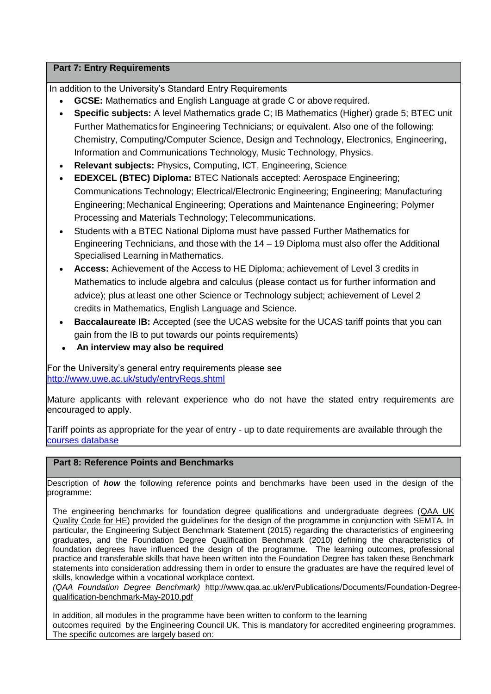# **Part 7: Entry Requirements**

In addition to the University's Standard Entry Requirements

- **GCSE:** Mathematics and English Language at grade C or above required.
- **Specific subjects:** A level Mathematics grade C; IB Mathematics (Higher) grade 5; BTEC unit Further Mathematics for Engineering Technicians; or equivalent. Also one of the following: Chemistry, Computing/Computer Science, Design and Technology, Electronics, Engineering, Information and Communications Technology, Music Technology, Physics.
- **Relevant subjects:** Physics, Computing, ICT, Engineering, Science
- **EDEXCEL (BTEC) Diploma:** BTEC Nationals accepted: Aerospace Engineering; Communications Technology; Electrical/Electronic Engineering; Engineering; Manufacturing Engineering; Mechanical Engineering; Operations and Maintenance Engineering; Polymer Processing and Materials Technology; Telecommunications.
- Students with a BTEC National Diploma must have passed Further Mathematics for Engineering Technicians, and those with the 14 – 19 Diploma must also offer the Additional Specialised Learning in Mathematics.
- **Access:** Achievement of the Access to HE Diploma; achievement of Level 3 credits in Mathematics to include algebra and calculus (please contact us for further information and advice); plus at least one other Science or Technology subject; achievement of Level 2 credits in Mathematics, English Language and Science.
- **Baccalaureate IB:** Accepted (see the UCAS website for the UCAS tariff points that you can gain from the IB to put towards our points requirements)
- **An interview may also be required**

For the University's general entry requirements please see <http://www.uwe.ac.uk/study/entryReqs.shtml>

Mature applicants with relevant experience who do not have the stated entry requirements are encouraged to apply.

Tariff points as appropriate for the year of entry - up to date requirements are available through the [courses database](http://www1.uwe.ac.uk/whatcanistudy/courses)

# **Part 8: Reference Points and Benchmarks**

Description of *how* the following reference points and benchmarks have been used in the design of the programme:

The engineering benchmarks for foundation degree qualifications and undergraduate degrees [\(QAA UK](http://www.qaa.ac.uk/assuringstandardsandquality/quality-code/Pages/default.aspx)  [Quality Code for HE\)](http://www.qaa.ac.uk/assuringstandardsandquality/quality-code/Pages/default.aspx) provided the guidelines for the design of the programme in conjunction with SEMTA. In particular, the Engineering Subject Benchmark Statement (2015) regarding the characteristics of engineering graduates, and the Foundation Degree Qualification Benchmark (2010) defining the characteristics of foundation degrees have influenced the design of the programme. The learning outcomes, professional practice and transferable skills that have been written into the Foundation Degree has taken these Benchmark statements into consideration addressing them in order to ensure the graduates are have the required level of skills, knowledge within a vocational workplace context.

*(QAA Foundation Degree Benchmark)* [http://www.qaa.ac.uk/en/Publications/Documents/Foundation-Degree](http://www.qaa.ac.uk/en/Publications/Documents/Foundation-Degree-qualification-benchmark-May-2010.pdf)[qualification-benchmark-May-2010.pdf](http://www.qaa.ac.uk/en/Publications/Documents/Foundation-Degree-qualification-benchmark-May-2010.pdf)

In addition, all modules in the programme have been written to conform to the learning outcomes required by the Engineering Council UK. This is mandatory for accredited engineering programmes. The specific outcomes are largely based on: